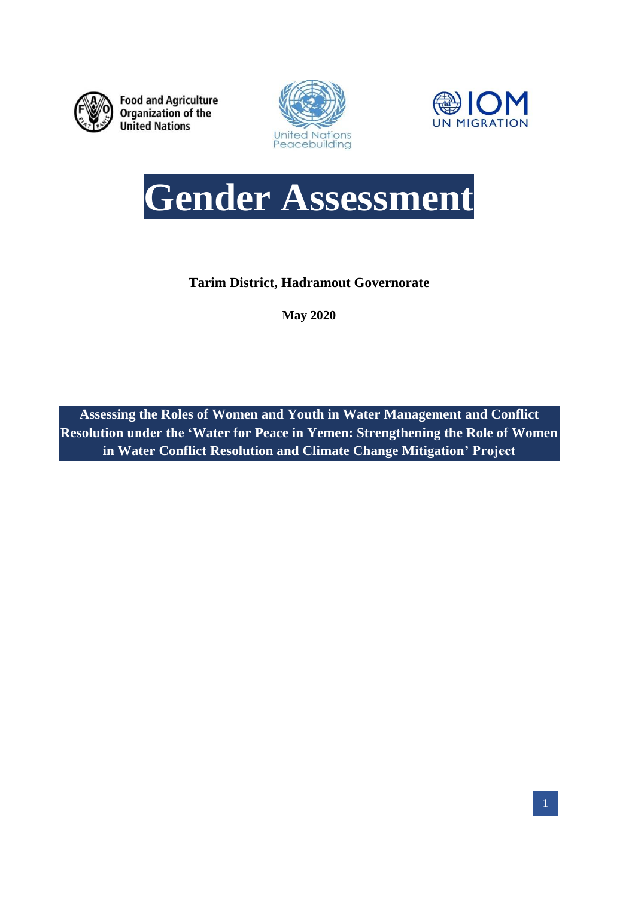

**Food and Agriculture** Organization of the **United Nations** 







**Tarim District, Hadramout Governorate**

**May 2020**

**Assessing the Roles of Women and Youth in Water Management and Conflict Resolution under the 'Water for Peace in Yemen: Strengthening the Role of Women in Water Conflict Resolution and Climate Change Mitigation' Project**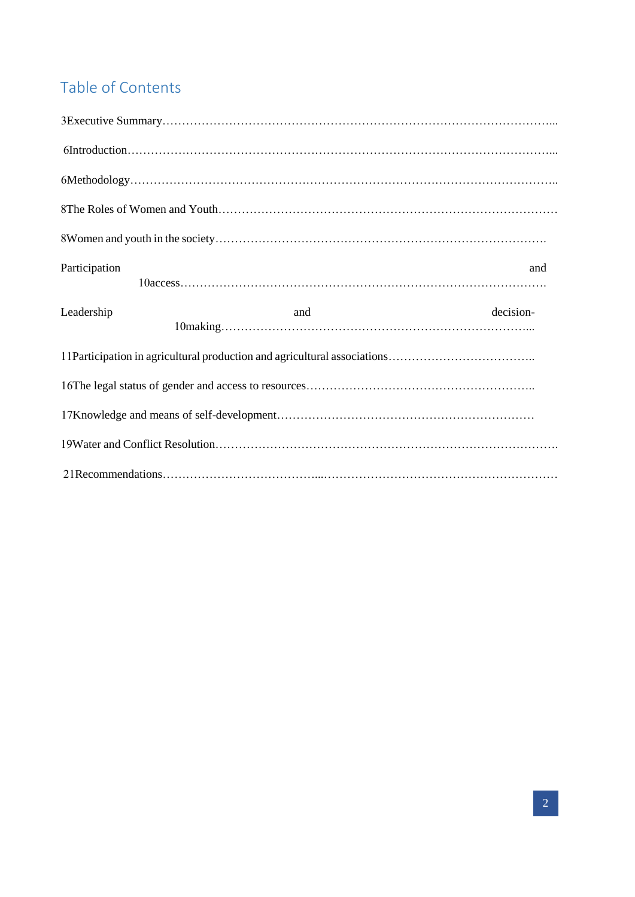# Table of Contents

| Participation |     | and       |
|---------------|-----|-----------|
| Leadership    | and | decision- |
|               |     |           |
|               |     |           |
|               |     |           |
|               |     |           |
|               |     |           |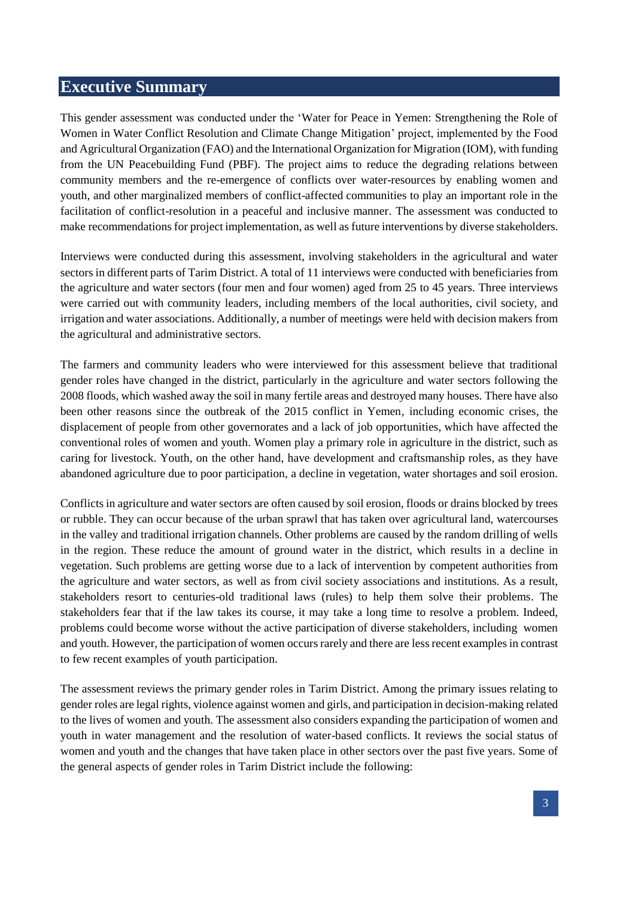# <span id="page-2-0"></span>**Executive Summary**

This gender assessment was conducted under the 'Water for Peace in Yemen: Strengthening the Role of Women in Water Conflict Resolution and Climate Change Mitigation' project, implemented by the Food and Agricultural Organization (FAO) and the International Organization for Migration (IOM), with funding from the UN Peacebuilding Fund (PBF). The project aims to reduce the degrading relations between community members and the re-emergence of conflicts over water-resources by enabling women and youth, and other marginalized members of conflict-affected communities to play an important role in the facilitation of conflict-resolution in a peaceful and inclusive manner. The assessment was conducted to make recommendations for project implementation, as well as future interventions by diverse stakeholders.

Interviews were conducted during this assessment, involving stakeholders in the agricultural and water sectors in different parts of Tarim District. A total of 11 interviews were conducted with beneficiaries from the agriculture and water sectors (four men and four women) aged from 25 to 45 years. Three interviews were carried out with community leaders, including members of the local authorities, civil society, and irrigation and water associations. Additionally, a number of meetings were held with decision makers from the agricultural and administrative sectors.

The farmers and community leaders who were interviewed for this assessment believe that traditional gender roles have changed in the district, particularly in the agriculture and water sectors following the 2008 floods, which washed away the soil in many fertile areas and destroyed many houses. There have also been other reasons since the outbreak of the 2015 conflict in Yemen, including economic crises, the displacement of people from other governorates and a lack of job opportunities, which have affected the conventional roles of women and youth. Women play a primary role in agriculture in the district, such as caring for livestock. Youth, on the other hand, have development and craftsmanship roles, as they have abandoned agriculture due to poor participation, a decline in vegetation, water shortages and soil erosion.

Conflicts in agriculture and water sectors are often caused by soil erosion, floods or drains blocked by trees or rubble. They can occur because of the urban sprawl that has taken over agricultural land, watercourses in the valley and traditional irrigation channels. Other problems are caused by the random drilling of wells in the region. These reduce the amount of ground water in the district, which results in a decline in vegetation. Such problems are getting worse due to a lack of intervention by competent authorities from the agriculture and water sectors, as well as from civil society associations and institutions. As a result, stakeholders resort to centuries-old traditional laws (rules) to help them solve their problems. The stakeholders fear that if the law takes its course, it may take a long time to resolve a problem. Indeed, problems could become worse without the active participation of diverse stakeholders, including women and youth. However, the participation of women occurs rarely and there are less recent examples in contrast to few recent examples of youth participation.

The assessment reviews the primary gender roles in Tarim District. Among the primary issues relating to gender roles are legal rights, violence against women and girls, and participation in decision-making related to the lives of women and youth. The assessment also considers expanding the participation of women and youth in water management and the resolution of water-based conflicts. It reviews the social status of women and youth and the changes that have taken place in other sectors over the past five years. Some of the general aspects of gender roles in Tarim District include the following: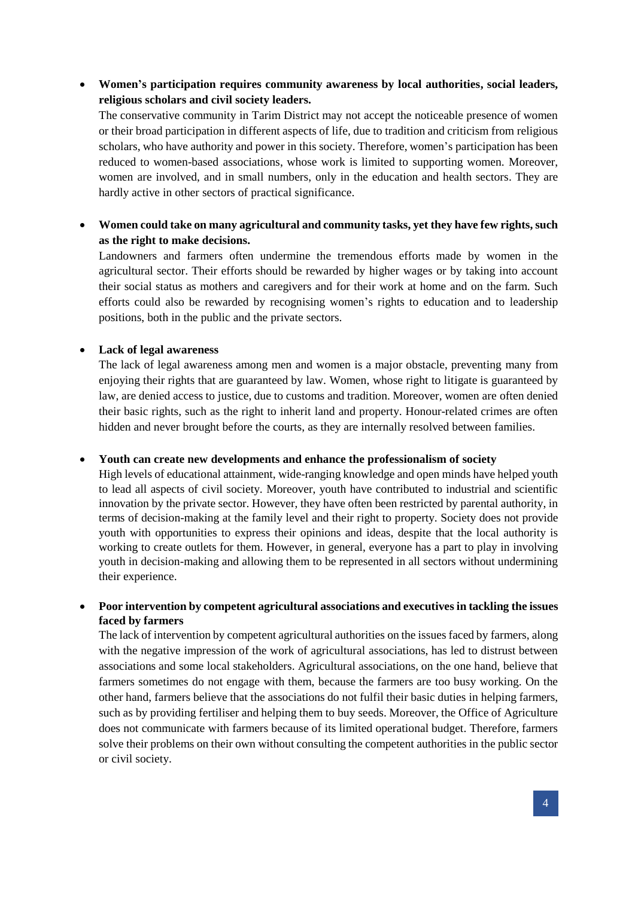**Women's participation requires community awareness by local authorities, social leaders, religious scholars and civil society leaders.**

The conservative community in Tarim District may not accept the noticeable presence of women or their broad participation in different aspects of life, due to tradition and criticism from religious scholars, who have authority and power in this society. Therefore, women's participation has been reduced to women-based associations, whose work is limited to supporting women. Moreover, women are involved, and in small numbers, only in the education and health sectors. They are hardly active in other sectors of practical significance.

 **Women could take on many agricultural and community tasks, yet they have few rights, such as the right to make decisions.**

Landowners and farmers often undermine the tremendous efforts made by women in the agricultural sector. Their efforts should be rewarded by higher wages or by taking into account their social status as mothers and caregivers and for their work at home and on the farm. Such efforts could also be rewarded by recognising women's rights to education and to leadership positions, both in the public and the private sectors.

#### **Lack of legal awareness**

The lack of legal awareness among men and women is a major obstacle, preventing many from enjoying their rights that are guaranteed by law. Women, whose right to litigate is guaranteed by law, are denied access to justice, due to customs and tradition. Moreover, women are often denied their basic rights, such as the right to inherit land and property. Honour-related crimes are often hidden and never brought before the courts, as they are internally resolved between families.

#### **Youth can create new developments and enhance the professionalism of society**

High levels of educational attainment, wide-ranging knowledge and open minds have helped youth to lead all aspects of civil society. Moreover, youth have contributed to industrial and scientific innovation by the private sector. However, they have often been restricted by parental authority, in terms of decision-making at the family level and their right to property. Society does not provide youth with opportunities to express their opinions and ideas, despite that the local authority is working to create outlets for them. However, in general, everyone has a part to play in involving youth in decision-making and allowing them to be represented in all sectors without undermining their experience.

 **Poor intervention by competent agricultural associations and executives in tackling the issues faced by farmers**

The lack of intervention by competent agricultural authorities on the issues faced by farmers, along with the negative impression of the work of agricultural associations, has led to distrust between associations and some local stakeholders. Agricultural associations, on the one hand, believe that farmers sometimes do not engage with them, because the farmers are too busy working. On the other hand, farmers believe that the associations do not fulfil their basic duties in helping farmers, such as by providing fertiliser and helping them to buy seeds. Moreover, the Office of Agriculture does not communicate with farmers because of its limited operational budget. Therefore, farmers solve their problems on their own without consulting the competent authorities in the public sector or civil society.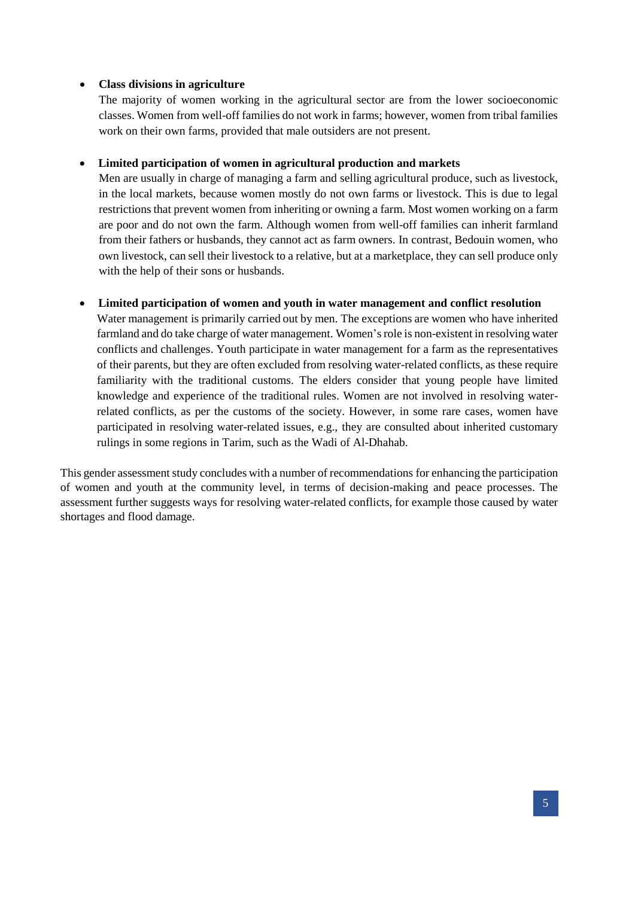### **Class divisions in agriculture**

The majority of women working in the agricultural sector are from the lower socioeconomic classes. Women from well-off families do not work in farms; however, women from tribal families work on their own farms, provided that male outsiders are not present.

## **Limited participation of women in agricultural production and markets**

Men are usually in charge of managing a farm and selling agricultural produce, such as livestock, in the local markets, because women mostly do not own farms or livestock. This is due to legal restrictions that prevent women from inheriting or owning a farm. Most women working on a farm are poor and do not own the farm. Although women from well-off families can inherit farmland from their fathers or husbands, they cannot act as farm owners. In contrast, Bedouin women, who own livestock, can sell their livestock to a relative, but at a marketplace, they can sell produce only with the help of their sons or husbands.

#### **Limited participation of women and youth in water management and conflict resolution**

Water management is primarily carried out by men. The exceptions are women who have inherited farmland and do take charge of water management. Women's role is non-existent in resolving water conflicts and challenges. Youth participate in water management for a farm as the representatives of their parents, but they are often excluded from resolving water-related conflicts, as these require familiarity with the traditional customs. The elders consider that young people have limited knowledge and experience of the traditional rules. Women are not involved in resolving waterrelated conflicts, as per the customs of the society. However, in some rare cases, women have participated in resolving water-related issues, e.g., they are consulted about inherited customary rulings in some regions in Tarim, such as the Wadi of Al-Dhahab.

This gender assessment study concludes with a number of recommendations for enhancing the participation of women and youth at the community level, in terms of decision-making and peace processes. The assessment further suggests ways for resolving water-related conflicts, for example those caused by water shortages and flood damage.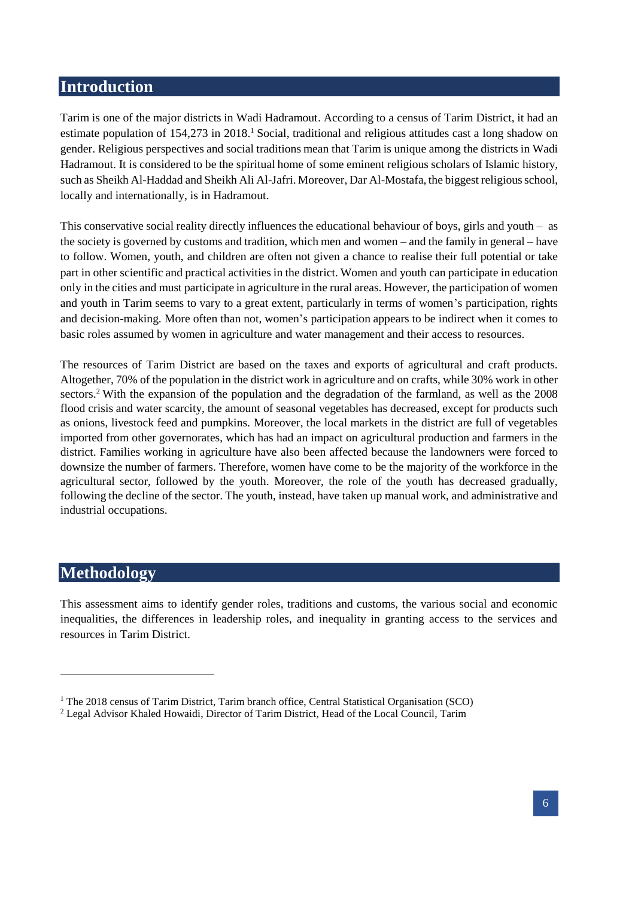# <span id="page-5-0"></span>**Introduction**

Tarim is one of the major districts in Wadi Hadramout. According to a census of Tarim District, it had an estimate population of 154,273 in 2018.<sup>1</sup> Social, traditional and religious attitudes cast a long shadow on gender. Religious perspectives and social traditions mean that Tarim is unique among the districts in Wadi Hadramout. It is considered to be the spiritual home of some eminent religious scholars of Islamic history, such as Sheikh Al-Haddad and Sheikh Ali Al-Jafri. Moreover, Dar Al-Mostafa, the biggest religious school, locally and internationally, is in Hadramout.

This conservative social reality directly influences the educational behaviour of boys, girls and youth – as the society is governed by customs and tradition, which men and women – and the family in general – have to follow. Women, youth, and children are often not given a chance to realise their full potential or take part in other scientific and practical activities in the district. Women and youth can participate in education only in the cities and must participate in agriculture in the rural areas. However, the participation of women and youth in Tarim seems to vary to a great extent, particularly in terms of women's participation, rights and decision-making. More often than not, women's participation appears to be indirect when it comes to basic roles assumed by women in agriculture and water management and their access to resources.

The resources of Tarim District are based on the taxes and exports of agricultural and craft products. Altogether, 70% of the population in the district work in agriculture and on crafts, while 30% work in other sectors.<sup>2</sup> With the expansion of the population and the degradation of the farmland, as well as the 2008 flood crisis and water scarcity, the amount of seasonal vegetables has decreased, except for products such as onions, livestock feed and pumpkins. Moreover, the local markets in the district are full of vegetables imported from other governorates, which has had an impact on agricultural production and farmers in the district. Families working in agriculture have also been affected because the landowners were forced to downsize the number of farmers. Therefore, women have come to be the majority of the workforce in the agricultural sector, followed by the youth. Moreover, the role of the youth has decreased gradually, following the decline of the sector. The youth, instead, have taken up manual work, and administrative and industrial occupations.

# <span id="page-5-1"></span>**Methodology**

-

This assessment aims to identify gender roles, traditions and customs, the various social and economic inequalities, the differences in leadership roles, and inequality in granting access to the services and resources in Tarim District.

<sup>&</sup>lt;sup>1</sup> The 2018 census of Tarim District, Tarim branch office, Central Statistical Organisation (SCO)

<sup>2</sup> Legal Advisor Khaled Howaidi, Director of Tarim District, Head of the Local Council, Tarim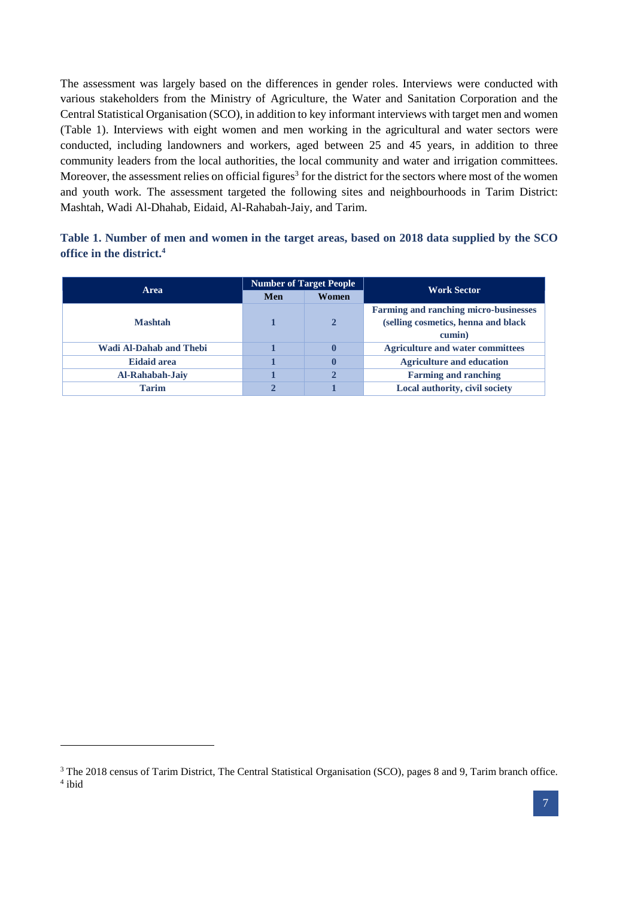The assessment was largely based on the differences in gender roles. Interviews were conducted with various stakeholders from the Ministry of Agriculture, the Water and Sanitation Corporation and the Central Statistical Organisation (SCO), in addition to key informant interviews with target men and women (Table 1). Interviews with eight women and men working in the agricultural and water sectors were conducted, including landowners and workers, aged between 25 and 45 years, in addition to three community leaders from the local authorities, the local community and water and irrigation committees. Moreover, the assessment relies on official figures<sup>3</sup> for the district for the sectors where most of the women and youth work. The assessment targeted the following sites and neighbourhoods in Tarim District: Mashtah, Wadi Al-Dhahab, Eidaid, Al-Rahabah-Jaiy, and Tarim.

| Table 1. Number of men and women in the target areas, based on 2018 data supplied by the SCO |  |  |  |
|----------------------------------------------------------------------------------------------|--|--|--|
| office in the district. <sup>4</sup>                                                         |  |  |  |

| Area                           | <b>Number of Target People</b> |       | <b>Work Sector</b>                           |  |
|--------------------------------|--------------------------------|-------|----------------------------------------------|--|
|                                | Men                            | Women |                                              |  |
|                                |                                |       | <b>Farming and ranching micro-businesses</b> |  |
| <b>Mashtah</b>                 |                                | 2     | (selling cosmetics, henna and black          |  |
|                                |                                |       | cumin)                                       |  |
| <b>Wadi Al-Dahab and Thebi</b> |                                | 0     | <b>Agriculture and water committees</b>      |  |
| <b>Eidaid area</b>             |                                | 0     | <b>Agriculture and education</b>             |  |
| Al-Rahabah-Jaiy                |                                | 2     | <b>Farming and ranching</b>                  |  |
| <b>Tarim</b>                   | $\mathbf 2$                    |       | Local authority, civil society               |  |

1

<sup>&</sup>lt;sup>3</sup> The 2018 census of Tarim District, The Central Statistical Organisation (SCO), pages 8 and 9, Tarim branch office. 4 ibid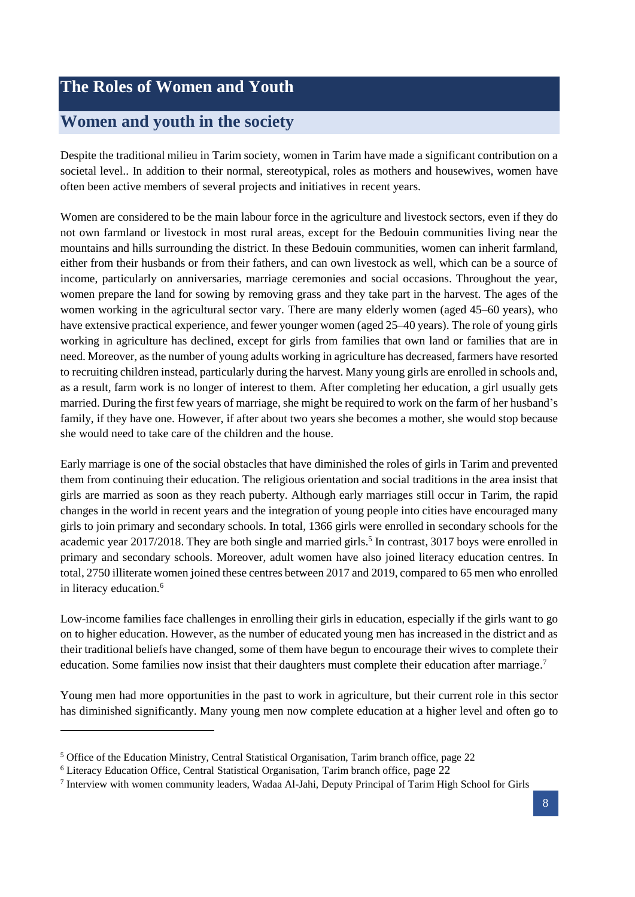# <span id="page-7-0"></span>**The Roles of Women and Youth**

# <span id="page-7-1"></span>**Women and youth in the society**

Despite the traditional milieu in Tarim society, women in Tarim have made a significant contribution on a societal level.. In addition to their normal, stereotypical, roles as mothers and housewives, women have often been active members of several projects and initiatives in recent years.

Women are considered to be the main labour force in the agriculture and livestock sectors, even if they do not own farmland or livestock in most rural areas, except for the Bedouin communities living near the mountains and hills surrounding the district. In these Bedouin communities, women can inherit farmland, either from their husbands or from their fathers, and can own livestock as well, which can be a source of income, particularly on anniversaries, marriage ceremonies and social occasions. Throughout the year, women prepare the land for sowing by removing grass and they take part in the harvest. The ages of the women working in the agricultural sector vary. There are many elderly women (aged 45–60 years), who have extensive practical experience, and fewer younger women (aged 25–40 years). The role of young girls working in agriculture has declined, except for girls from families that own land or families that are in need. Moreover, as the number of young adults working in agriculture has decreased, farmers have resorted to recruiting children instead, particularly during the harvest. Many young girls are enrolled in schools and, as a result, farm work is no longer of interest to them. After completing her education, a girl usually gets married. During the first few years of marriage, she might be required to work on the farm of her husband's family, if they have one. However, if after about two years she becomes a mother, she would stop because she would need to take care of the children and the house.

Early marriage is one of the social obstacles that have diminished the roles of girls in Tarim and prevented them from continuing their education. The religious orientation and social traditions in the area insist that girls are married as soon as they reach puberty. Although early marriages still occur in Tarim, the rapid changes in the world in recent years and the integration of young people into cities have encouraged many girls to join primary and secondary schools. In total, 1366 girls were enrolled in secondary schools for the academic year 2017/2018. They are both single and married girls.<sup>5</sup> In contrast, 3017 boys were enrolled in primary and secondary schools. Moreover, adult women have also joined literacy education centres. In total, 2750 illiterate women joined these centres between 2017 and 2019, compared to 65 men who enrolled in literacy education.<sup>6</sup>

Low-income families face challenges in enrolling their girls in education, especially if the girls want to go on to higher education. However, as the number of educated young men has increased in the district and as their traditional beliefs have changed, some of them have begun to encourage their wives to complete their education. Some families now insist that their daughters must complete their education after marriage.<sup>7</sup>

Young men had more opportunities in the past to work in agriculture, but their current role in this sector has diminished significantly. Many young men now complete education at a higher level and often go to

<sup>5</sup> Office of the Education Ministry, Central Statistical Organisation, Tarim branch office, page 22

<sup>6</sup> Literacy Education Office, Central Statistical Organisation, Tarim branch office, page 22

<sup>7</sup> Interview with women community leaders, Wadaa Al-Jahi, Deputy Principal of Tarim High School for Girls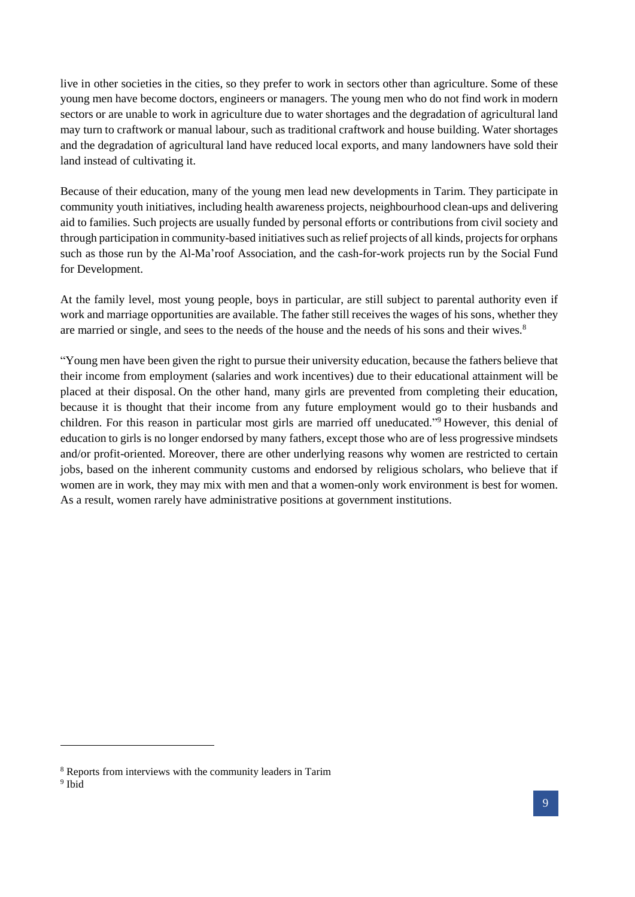live in other societies in the cities, so they prefer to work in sectors other than agriculture. Some of these young men have become doctors, engineers or managers. The young men who do not find work in modern sectors or are unable to work in agriculture due to water shortages and the degradation of agricultural land may turn to craftwork or manual labour, such as traditional craftwork and house building. Water shortages and the degradation of agricultural land have reduced local exports, and many landowners have sold their land instead of cultivating it.

Because of their education, many of the young men lead new developments in Tarim. They participate in community youth initiatives, including health awareness projects, neighbourhood clean-ups and delivering aid to families. Such projects are usually funded by personal efforts or contributions from civil society and through participation in community-based initiatives such as relief projects of all kinds, projects for orphans such as those run by the Al-Ma'roof Association, and the cash-for-work projects run by the Social Fund for Development.

At the family level, most young people, boys in particular, are still subject to parental authority even if work and marriage opportunities are available. The father still receives the wages of his sons, whether they are married or single, and sees to the needs of the house and the needs of his sons and their wives.<sup>8</sup>

"Young men have been given the right to pursue their university education, because the fathers believe that their income from employment (salaries and work incentives) due to their educational attainment will be placed at their disposal. On the other hand, many girls are prevented from completing their education, because it is thought that their income from any future employment would go to their husbands and children. For this reason in particular most girls are married off uneducated."<sup>9</sup> However, this denial of education to girls is no longer endorsed by many fathers, except those who are of less progressive mindsets and/or profit-oriented. Moreover, there are other underlying reasons why women are restricted to certain jobs, based on the inherent community customs and endorsed by religious scholars, who believe that if women are in work, they may mix with men and that a women-only work environment is best for women. As a result, women rarely have administrative positions at government institutions.

1

<sup>8</sup> Reports from interviews with the community leaders in Tarim

<sup>&</sup>lt;sup>9</sup> Ibid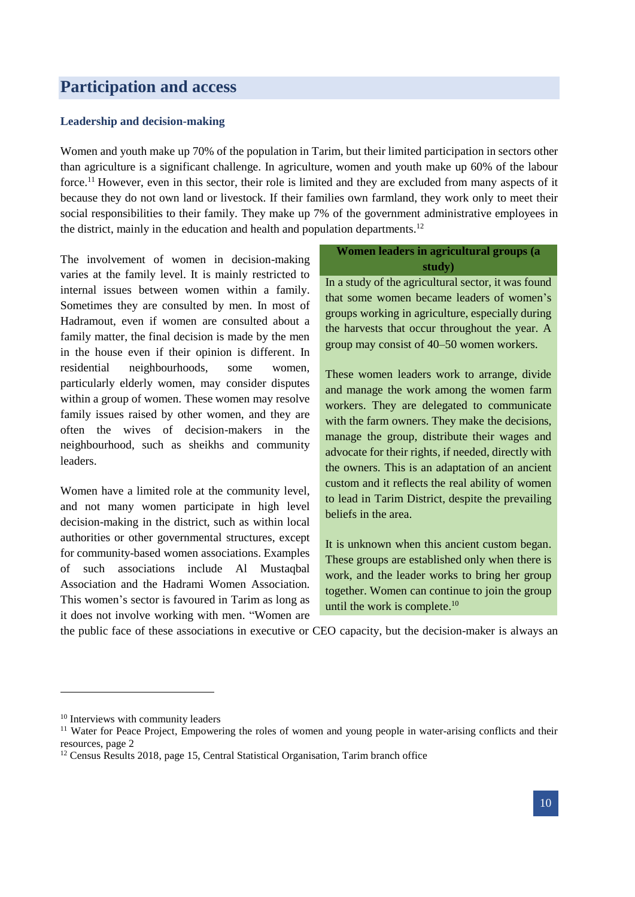# <span id="page-9-0"></span>**Participation and access**

#### <span id="page-9-1"></span>**Leadership and decision-making**

Women and youth make up 70% of the population in Tarim, but their limited participation in sectors other than agriculture is a significant challenge. In agriculture, women and youth make up 60% of the labour force.<sup>11</sup> However, even in this sector, their role is limited and they are excluded from many aspects of it because they do not own land or livestock. If their families own farmland, they work only to meet their social responsibilities to their family. They make up 7% of the government administrative employees in the district, mainly in the education and health and population departments.<sup>12</sup>

The involvement of women in decision-making varies at the family level. It is mainly restricted to internal issues between women within a family. Sometimes they are consulted by men. In most of Hadramout, even if women are consulted about a family matter, the final decision is made by the men in the house even if their opinion is different. In residential neighbourhoods, some women, particularly elderly women, may consider disputes within a group of women. These women may resolve family issues raised by other women, and they are often the wives of decision-makers in the neighbourhood, such as sheikhs and community leaders.

Women have a limited role at the community level, and not many women participate in high level decision-making in the district, such as within local authorities or other governmental structures, except for community-based women associations. Examples of such associations include Al Mustaqbal Association and the Hadrami Women Association. This women's sector is favoured in Tarim as long as it does not involve working with men. "Women are

## **Women leaders in agricultural groups (a study)**

In a study of the agricultural sector, it was found that some women became leaders of women's groups working in agriculture, especially during the harvests that occur throughout the year. A group may consist of 40–50 women workers.

These women leaders work to arrange, divide and manage the work among the women farm workers. They are delegated to communicate with the farm owners. They make the decisions, manage the group, distribute their wages and advocate for their rights, if needed, directly with the owners. This is an adaptation of an ancient custom and it reflects the real ability of women to lead in Tarim District, despite the prevailing beliefs in the area.

It is unknown when this ancient custom began. These groups are established only when there is work, and the leader works to bring her group together. Women can continue to join the group until the work is complete.<sup>10</sup>

the public face of these associations in executive or CEO capacity, but the decision-maker is always an

<sup>&</sup>lt;sup>10</sup> Interviews with community leaders

<sup>&</sup>lt;sup>11</sup> Water for Peace Project, Empowering the roles of women and young people in water-arising conflicts and their resources, page 2

<sup>&</sup>lt;sup>12</sup> Census Results 2018, page 15, Central Statistical Organisation, Tarim branch office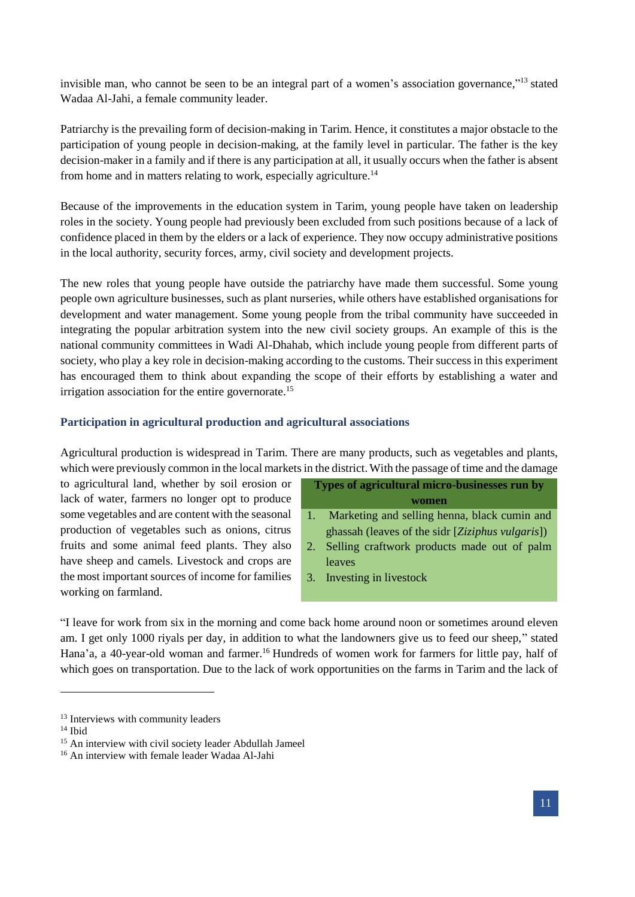invisible man, who cannot be seen to be an integral part of a women's association governance,"<sup>13</sup> stated Wadaa Al-Jahi, a female community leader.

Patriarchy is the prevailing form of decision-making in Tarim. Hence, it constitutes a major obstacle to the participation of young people in decision-making, at the family level in particular. The father is the key decision-maker in a family and if there is any participation at all, it usually occurs when the father is absent from home and in matters relating to work, especially agriculture.<sup>14</sup>

Because of the improvements in the education system in Tarim, young people have taken on leadership roles in the society. Young people had previously been excluded from such positions because of a lack of confidence placed in them by the elders or a lack of experience. They now occupy administrative positions in the local authority, security forces, army, civil society and development projects.

The new roles that young people have outside the patriarchy have made them successful. Some young people own agriculture businesses, such as plant nurseries, while others have established organisations for development and water management. Some young people from the tribal community have succeeded in integrating the popular arbitration system into the new civil society groups. An example of this is the national community committees in Wadi Al-Dhahab, which include young people from different parts of society, who play a key role in decision-making according to the customs. Their success in this experiment has encouraged them to think about expanding the scope of their efforts by establishing a water and irrigation association for the entire governorate.<sup>15</sup>

#### <span id="page-10-0"></span>**Participation in agricultural production and agricultural associations**

Agricultural production is widespread in Tarim. There are many products, such as vegetables and plants, which were previously common in the local markets in the district. With the passage of time and the damage

to agricultural land, whether by soil erosion or lack of water, farmers no longer opt to produce some vegetables and are content with the seasonal production of vegetables such as onions, citrus fruits and some animal feed plants. They also have sheep and camels. Livestock and crops are the most important sources of income for families working on farmland.

| Types of agricultural micro-businesses run by |                                                  |  |  |  |
|-----------------------------------------------|--------------------------------------------------|--|--|--|
|                                               | women                                            |  |  |  |
|                                               | Marketing and selling henna, black cumin and     |  |  |  |
|                                               | ghassah (leaves of the sidr [Ziziphus vulgaris]) |  |  |  |
| 2.                                            | Selling craftwork products made out of palm      |  |  |  |
|                                               | leaves                                           |  |  |  |
|                                               | 3. Investing in livestock                        |  |  |  |
|                                               |                                                  |  |  |  |

"I leave for work from six in the morning and come back home around noon or sometimes around eleven am. I get only 1000 riyals per day, in addition to what the landowners give us to feed our sheep," stated Hana'a, a 40-year-old woman and farmer.<sup>16</sup> Hundreds of women work for farmers for little pay, half of which goes on transportation. Due to the lack of work opportunities on the farms in Tarim and the lack of

 $14$  Ibid

<sup>&</sup>lt;sup>13</sup> Interviews with community leaders

<sup>&</sup>lt;sup>15</sup> An interview with civil society leader Abdullah Jameel

<sup>16</sup> An interview with female leader Wadaa Al-Jahi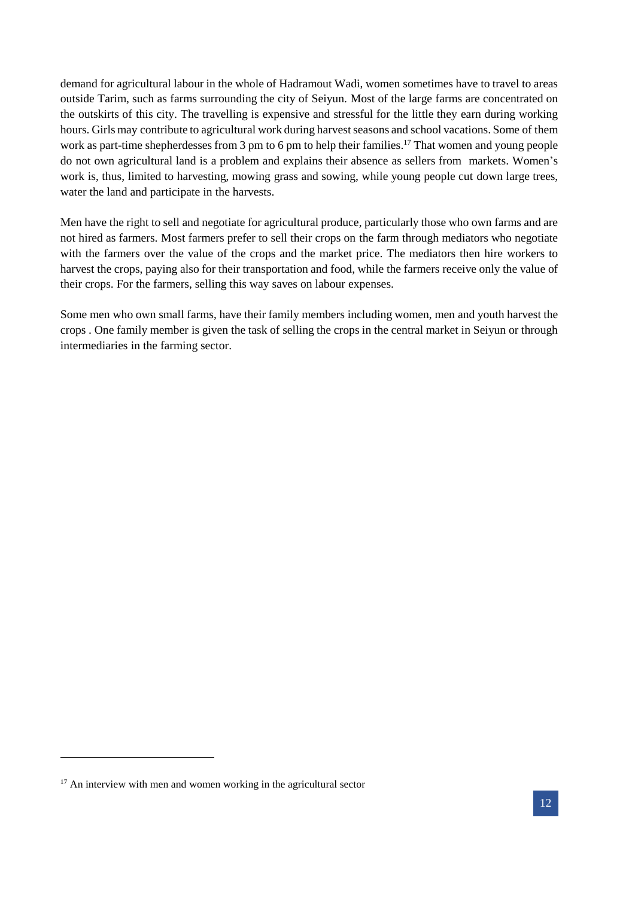demand for agricultural labour in the whole of Hadramout Wadi, women sometimes have to travel to areas outside Tarim, such as farms surrounding the city of Seiyun. Most of the large farms are concentrated on the outskirts of this city. The travelling is expensive and stressful for the little they earn during working hours. Girls may contribute to agricultural work during harvest seasons and school vacations. Some of them work as part-time shepherdesses from 3 pm to 6 pm to help their families.<sup>17</sup> That women and young people do not own agricultural land is a problem and explains their absence as sellers from markets. Women's work is, thus, limited to harvesting, mowing grass and sowing, while young people cut down large trees, water the land and participate in the harvests.

Men have the right to sell and negotiate for agricultural produce, particularly those who own farms and are not hired as farmers. Most farmers prefer to sell their crops on the farm through mediators who negotiate with the farmers over the value of the crops and the market price. The mediators then hire workers to harvest the crops, paying also for their transportation and food, while the farmers receive only the value of their crops. For the farmers, selling this way saves on labour expenses.

Some men who own small farms, have their family members including women, men and youth harvest the crops . One family member is given the task of selling the crops in the central market in Seiyun or through intermediaries in the farming sector.

1

 $17$  An interview with men and women working in the agricultural sector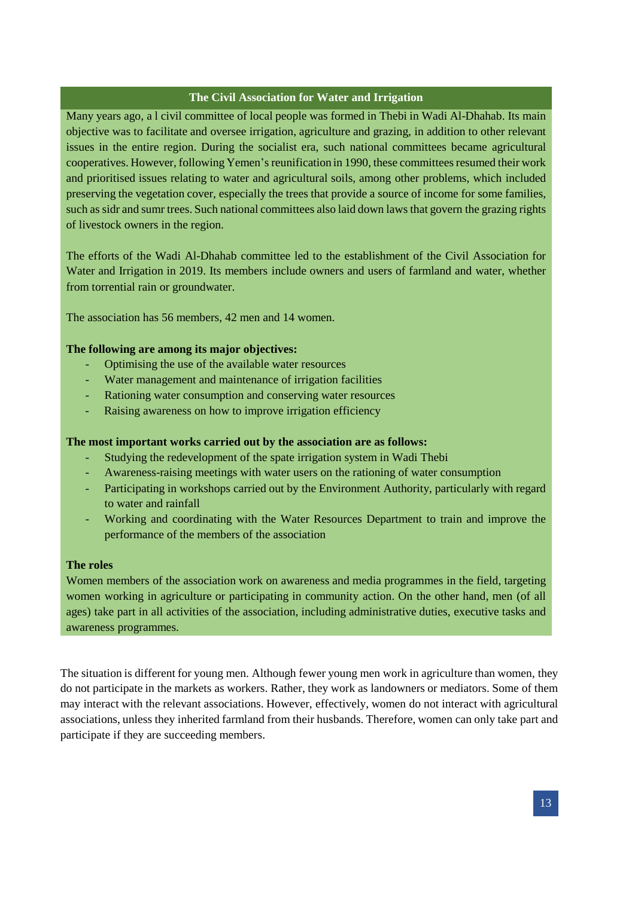## **The Civil Association for Water and Irrigation**

Many years ago, a l civil committee of local people was formed in Thebi in Wadi Al-Dhahab. Its main objective was to facilitate and oversee irrigation, agriculture and grazing, in addition to other relevant issues in the entire region. During the socialist era, such national committees became agricultural cooperatives. However, following Yemen's reunification in 1990, these committees resumed their work and prioritised issues relating to water and agricultural soils, among other problems, which included preserving the vegetation cover, especially the trees that provide a source of income for some families, such as sidr and sumr trees. Such national committees also laid down laws that govern the grazing rights of livestock owners in the region.

The efforts of the Wadi Al-Dhahab committee led to the establishment of the Civil Association for Water and Irrigation in 2019. Its members include owners and users of farmland and water, whether from torrential rain or groundwater.

The association has 56 members, 42 men and 14 women.

#### **The following are among its major objectives:**

- Optimising the use of the available water resources
- Water management and maintenance of irrigation facilities
- Rationing water consumption and conserving water resources
- Raising awareness on how to improve irrigation efficiency

#### **The most important works carried out by the association are as follows:**

- Studying the redevelopment of the spate irrigation system in Wadi Thebi
- Awareness-raising meetings with water users on the rationing of water consumption
- Participating in workshops carried out by the Environment Authority, particularly with regard to water and rainfall
- Working and coordinating with the Water Resources Department to train and improve the performance of the members of the association

#### **The roles**

Women members of the association work on awareness and media programmes in the field, targeting women working in agriculture or participating in community action. On the other hand, men (of all ages) take part in all activities of the association, including administrative duties, executive tasks and awareness programmes.

The situation is different for young men. Although fewer young men work in agriculture than women, they do not participate in the markets as workers. Rather, they work as landowners or mediators. Some of them may interact with the relevant associations. However, effectively, women do not interact with agricultural associations, unless they inherited farmland from their husbands. Therefore, women can only take part and participate if they are succeeding members.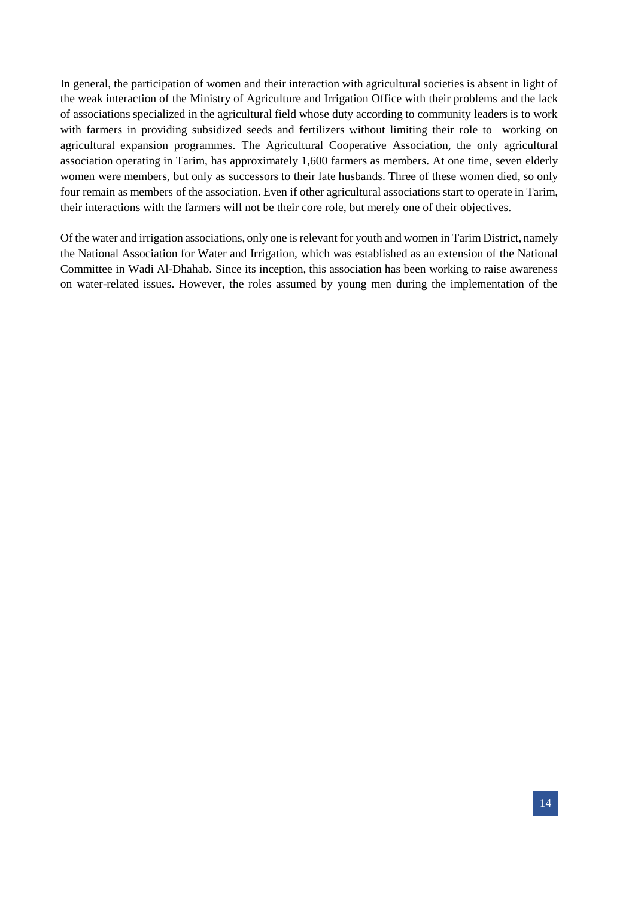In general, the participation of women and their interaction with agricultural societies is absent in light of the weak interaction of the Ministry of Agriculture and Irrigation Office with their problems and the lack of associations specialized in the agricultural field whose duty according to community leaders is to work with farmers in providing subsidized seeds and fertilizers without limiting their role to working on agricultural expansion programmes. The Agricultural Cooperative Association, the only agricultural association operating in Tarim, has approximately 1,600 farmers as members. At one time, seven elderly women were members, but only as successors to their late husbands. Three of these women died, so only four remain as members of the association. Even if other agricultural associations start to operate in Tarim, their interactions with the farmers will not be their core role, but merely one of their objectives.

Of the water and irrigation associations, only one is relevant for youth and women in Tarim District, namely the National Association for Water and Irrigation, which was established as an extension of the National Committee in Wadi Al-Dhahab. Since its inception, this association has been working to raise awareness on water-related issues. However, the roles assumed by young men during the implementation of the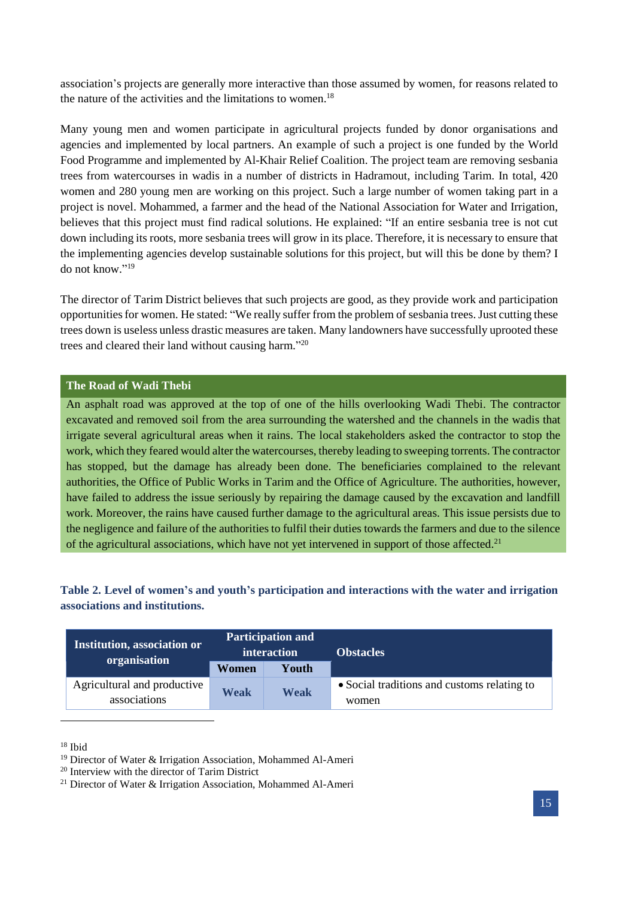association's projects are generally more interactive than those assumed by women, for reasons related to the nature of the activities and the limitations to women. 18

Many young men and women participate in agricultural projects funded by donor organisations and agencies and implemented by local partners. An example of such a project is one funded by the World Food Programme and implemented by Al-Khair Relief Coalition. The project team are removing sesbania trees from watercourses in wadis in a number of districts in Hadramout, including Tarim. In total, 420 women and 280 young men are working on this project. Such a large number of women taking part in a project is novel. Mohammed, a farmer and the head of the National Association for Water and Irrigation, believes that this project must find radical solutions. He explained: "If an entire sesbania tree is not cut down including its roots, more sesbania trees will grow in its place. Therefore, it is necessary to ensure that the implementing agencies develop sustainable solutions for this project, but will this be done by them? I do not know." 19

The director of Tarim District believes that such projects are good, as they provide work and participation opportunities for women. He stated: "We really suffer from the problem of sesbania trees.Just cutting these trees down is useless unless drastic measures are taken. Many landowners have successfully uprooted these trees and cleared their land without causing harm."<sup>20</sup>

## **The Road of Wadi Thebi**

An asphalt road was approved at the top of one of the hills overlooking Wadi Thebi. The contractor excavated and removed soil from the area surrounding the watershed and the channels in the wadis that irrigate several agricultural areas when it rains. The local stakeholders asked the contractor to stop the work, which they feared would alter the watercourses, thereby leading to sweeping torrents. The contractor has stopped, but the damage has already been done. The beneficiaries complained to the relevant authorities, the Office of Public Works in Tarim and the Office of Agriculture. The authorities, however, have failed to address the issue seriously by repairing the damage caused by the excavation and landfill work. Moreover, the rains have caused further damage to the agricultural areas. This issue persists due to the negligence and failure of the authorities to fulfil their duties towards the farmers and due to the silence of the agricultural associations, which have not yet intervened in support of those affected.<sup>21</sup>

# **Table 2. Level of women's and youth's participation and interactions with the water and irrigation associations and institutions.**

| Institution, association or<br>organisation | <b>Participation and</b><br>interaction |             | <b>Obstacles</b>                            |  |
|---------------------------------------------|-----------------------------------------|-------------|---------------------------------------------|--|
|                                             | Women                                   | Youth       |                                             |  |
| Agricultural and productive                 | Weak                                    | <b>Weak</b> | • Social traditions and customs relating to |  |
| associations                                |                                         |             | women                                       |  |

<sup>18</sup> Ibid

<sup>19</sup> Director of Water & Irrigation Association, Mohammed Al-Ameri

<sup>20</sup> Interview with the director of Tarim District

<sup>21</sup> Director of Water & Irrigation Association, Mohammed Al-Ameri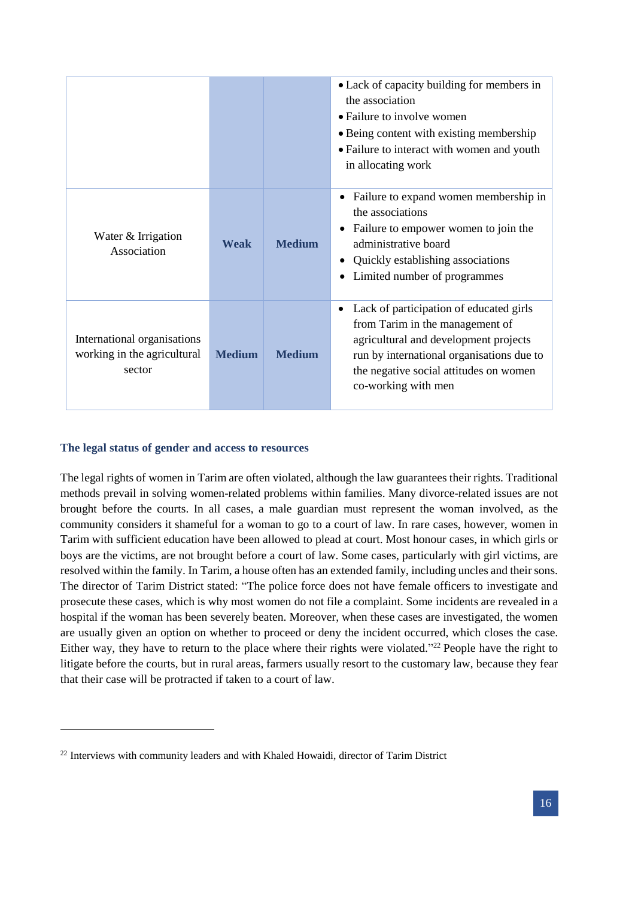|                                                                      |               |               | • Lack of capacity building for members in<br>the association<br>• Failure to involve women<br>• Being content with existing membership<br>• Failure to interact with women and youth<br>in allocating work                            |
|----------------------------------------------------------------------|---------------|---------------|----------------------------------------------------------------------------------------------------------------------------------------------------------------------------------------------------------------------------------------|
| Water & Irrigation<br>Association                                    | Weak          | <b>Medium</b> | Failure to expand women membership in<br>$\bullet$<br>the associations<br>Failure to empower women to join the<br>administrative board<br>Quickly establishing associations<br>Limited number of programmes                            |
| International organisations<br>working in the agricultural<br>sector | <b>Medium</b> | <b>Medium</b> | Lack of participation of educated girls<br>٠<br>from Tarim in the management of<br>agricultural and development projects<br>run by international organisations due to<br>the negative social attitudes on women<br>co-working with men |

## <span id="page-15-0"></span>**The legal status of gender and access to resources**

1

The legal rights of women in Tarim are often violated, although the law guarantees their rights. Traditional methods prevail in solving women-related problems within families. Many divorce-related issues are not brought before the courts. In all cases, a male guardian must represent the woman involved, as the community considers it shameful for a woman to go to a court of law. In rare cases, however, women in Tarim with sufficient education have been allowed to plead at court. Most honour cases, in which girls or boys are the victims, are not brought before a court of law. Some cases, particularly with girl victims, are resolved within the family. In Tarim, a house often has an extended family, including uncles and their sons. The director of Tarim District stated: "The police force does not have female officers to investigate and prosecute these cases, which is why most women do not file a complaint. Some incidents are revealed in a hospital if the woman has been severely beaten. Moreover, when these cases are investigated, the women are usually given an option on whether to proceed or deny the incident occurred, which closes the case. Either way, they have to return to the place where their rights were violated."<sup>22</sup> People have the right to litigate before the courts, but in rural areas, farmers usually resort to the customary law, because they fear that their case will be protracted if taken to a court of law.

<sup>&</sup>lt;sup>22</sup> Interviews with community leaders and with Khaled Howaidi, director of Tarim District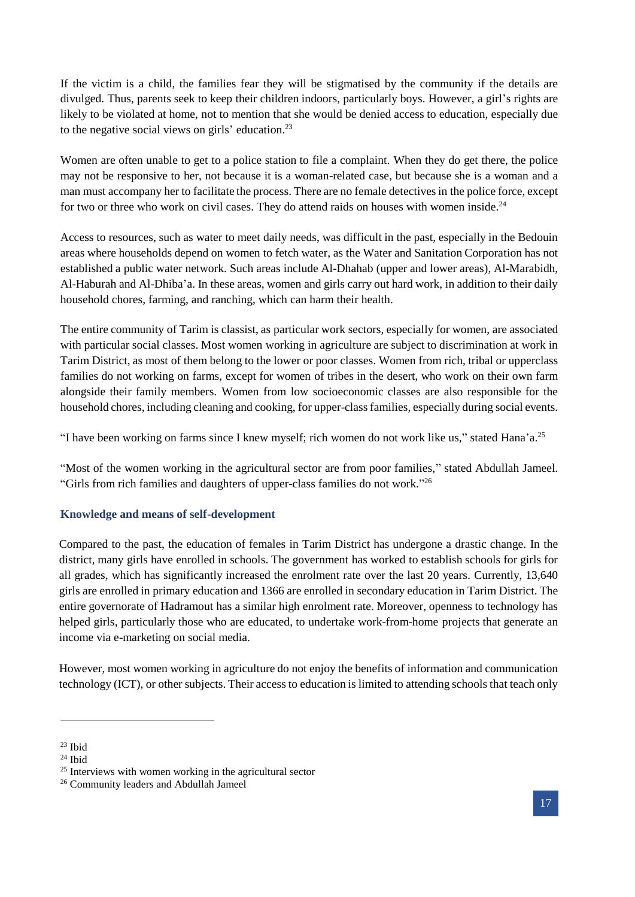If the victim is a child, the families fear they will be stigmatised by the community if the details are divulged. Thus, parents seek to keep their children indoors, particularly boys. However, a girl's rights are likely to be violated at home, not to mention that she would be denied access to education, especially due to the negative social views on girls' education.<sup>23</sup>

Women are often unable to get to a police station to file a complaint. When they do get there, the police may not be responsive to her, not because it is a woman-related case, but because she is a woman and a man must accompany her to facilitate the process. There are no female detectives in the police force, except for two or three who work on civil cases. They do attend raids on houses with women inside.<sup>24</sup>

Access to resources, such as water to meet daily needs, was difficult in the past, especially in the Bedouin areas where households depend on women to fetch water, as the Water and Sanitation Corporation has not established a public water network. Such areas include Al-Dhahab (upper and lower areas), Al-Marabidh, Al-Haburah and Al-Dhiba'a. In these areas, women and girls carry out hard work, in addition to their daily household chores, farming, and ranching, which can harm their health.

The entire community of Tarim is classist, as particular work sectors, especially for women, are associated with particular social classes. Most women working in agriculture are subject to discrimination at work in Tarim District, as most of them belong to the lower or poor classes. Women from rich, tribal or upperclass families do not working on farms, except for women of tribes in the desert, who work on their own farm alongside their family members. Women from low socioeconomic classes are also responsible for the household chores, including cleaning and cooking, for upper-class families, especially during social events.

"I have been working on farms since I knew myself; rich women do not work like us," stated Hana'a.<sup>25</sup>

"Most of the women working in the agricultural sector are from poor families," stated Abdullah Jameel. "Girls from rich families and daughters of upper-class families do not work."<sup>26</sup>

# <span id="page-16-0"></span>**Knowledge and means of self-development**

Compared to the past, the education of females in Tarim District has undergone a drastic change. In the district, many girls have enrolled in schools. The government has worked to establish schools for girls for all grades, which has significantly increased the enrolment rate over the last 20 years. Currently, 13,640 girls are enrolled in primary education and 1366 are enrolled in secondary education in Tarim District. The entire governorate of Hadramout has a similar high enrolment rate. Moreover, openness to technology has helped girls, particularly those who are educated, to undertake work-from-home projects that generate an income via e-marketing on social media.

However, most women working in agriculture do not enjoy the benefits of information and communication technology (ICT), or other subjects. Their access to education is limited to attending schools that teach only

 $23$  Ibid

<sup>24</sup> Ibid

<sup>&</sup>lt;sup>25</sup> Interviews with women working in the agricultural sector

<sup>&</sup>lt;sup>26</sup> Community leaders and Abdullah Jameel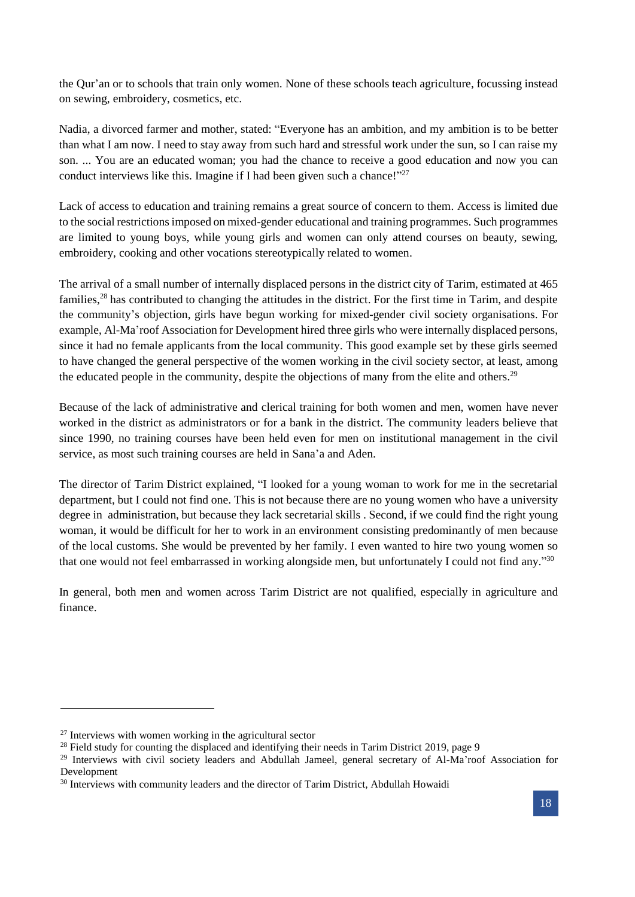the Qur'an or to schools that train only women. None of these schools teach agriculture, focussing instead on sewing, embroidery, cosmetics, etc.

Nadia, a divorced farmer and mother, stated: "Everyone has an ambition, and my ambition is to be better than what I am now. I need to stay away from such hard and stressful work under the sun, so I can raise my son. ... You are an educated woman; you had the chance to receive a good education and now you can conduct interviews like this. Imagine if I had been given such a chance!"<sup>27</sup>

Lack of access to education and training remains a great source of concern to them. Access is limited due to the social restrictions imposed on mixed-gender educational and training programmes. Such programmes are limited to young boys, while young girls and women can only attend courses on beauty, sewing, embroidery, cooking and other vocations stereotypically related to women.

The arrival of a small number of internally displaced persons in the district city of Tarim, estimated at 465 families,<sup>28</sup> has contributed to changing the attitudes in the district. For the first time in Tarim, and despite the community's objection, girls have begun working for mixed-gender civil society organisations. For example, Al-Ma'roof Association for Development hired three girls who were internally displaced persons, since it had no female applicants from the local community. This good example set by these girls seemed to have changed the general perspective of the women working in the civil society sector, at least, among the educated people in the community, despite the objections of many from the elite and others.<sup>29</sup>

Because of the lack of administrative and clerical training for both women and men, women have never worked in the district as administrators or for a bank in the district. The community leaders believe that since 1990, no training courses have been held even for men on institutional management in the civil service, as most such training courses are held in Sana'a and Aden.

The director of Tarim District explained, "I looked for a young woman to work for me in the secretarial department, but I could not find one. This is not because there are no young women who have a university degree in administration, but because they lack secretarial skills . Second, if we could find the right young woman, it would be difficult for her to work in an environment consisting predominantly of men because of the local customs. She would be prevented by her family. I even wanted to hire two young women so that one would not feel embarrassed in working alongside men, but unfortunately I could not find any."<sup>30</sup>

In general, both men and women across Tarim District are not qualified, especially in agriculture and finance.

1

<sup>27</sup> Interviews with women working in the agricultural sector

 $28$  Field study for counting the displaced and identifying their needs in Tarim District 2019, page 9

<sup>&</sup>lt;sup>29</sup> Interviews with civil society leaders and Abdullah Jameel, general secretary of Al-Ma'roof Association for Development

<sup>&</sup>lt;sup>30</sup> Interviews with community leaders and the director of Tarim District, Abdullah Howaidi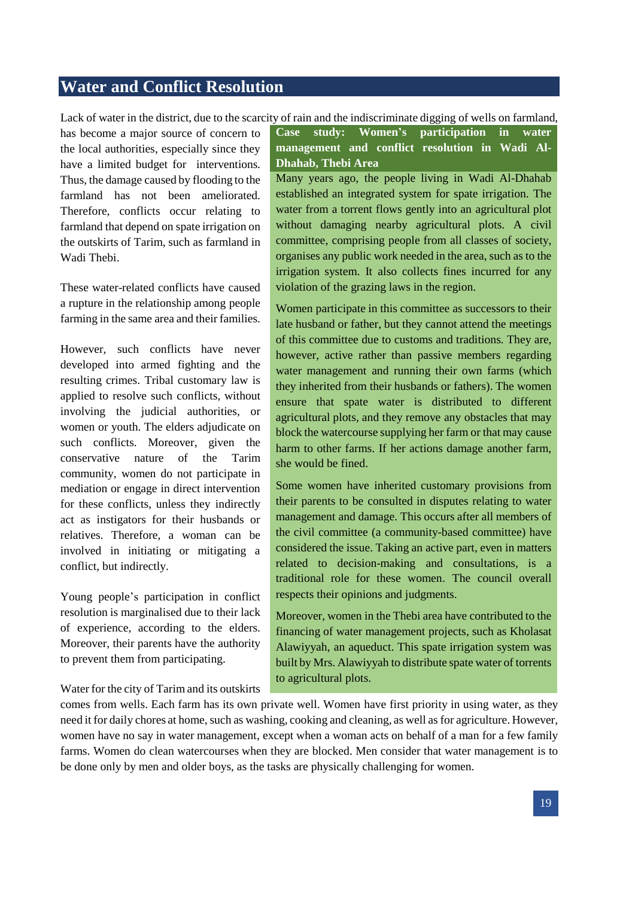# <span id="page-18-0"></span>**Water and Conflict Resolution**

Lack of water in the district, due to the scarcity of rain and the indiscriminate digging of wells on farmland,

has become a major source of concern to the local authorities, especially since they have a limited budget for interventions. Thus, the damage caused by flooding to the farmland has not been ameliorated. Therefore, conflicts occur relating to farmland that depend on spate irrigation on the outskirts of Tarim, such as farmland in Wadi Thebi.

These water-related conflicts have caused a rupture in the relationship among people farming in the same area and their families.

However, such conflicts have never developed into armed fighting and the resulting crimes. Tribal customary law is applied to resolve such conflicts, without involving the judicial authorities, or women or youth. The elders adjudicate on such conflicts. Moreover, given the conservative nature of the Tarim community, women do not participate in mediation or engage in direct intervention for these conflicts, unless they indirectly act as instigators for their husbands or relatives. Therefore, a woman can be involved in initiating or mitigating a conflict, but indirectly.

Young people's participation in conflict resolution is marginalised due to their lack of experience, according to the elders. Moreover, their parents have the authority to prevent them from participating.

Water for the city of Tarim and its outskirts

**Case study: Women's participation in water management and conflict resolution in Wadi Al-Dhahab, Thebi Area**

Many years ago, the people living in Wadi Al-Dhahab established an integrated system for spate irrigation. The water from a torrent flows gently into an agricultural plot without damaging nearby agricultural plots. A civil committee, comprising people from all classes of society, organises any public work needed in the area, such as to the irrigation system. It also collects fines incurred for any violation of the grazing laws in the region.

Women participate in this committee as successors to their late husband or father, but they cannot attend the meetings of this committee due to customs and traditions. They are, however, active rather than passive members regarding water management and running their own farms (which they inherited from their husbands or fathers). The women ensure that spate water is distributed to different agricultural plots, and they remove any obstacles that may block the watercourse supplying her farm or that may cause harm to other farms. If her actions damage another farm, she would be fined.

Some women have inherited customary provisions from their parents to be consulted in disputes relating to water management and damage. This occurs after all members of the civil committee (a community-based committee) have considered the issue. Taking an active part, even in matters related to decision-making and consultations, is a traditional role for these women. The council overall respects their opinions and judgments.

Moreover, women in the Thebi area have contributed to the financing of water management projects, such as Kholasat Alawiyyah, an aqueduct. This spate irrigation system was built by Mrs. Alawiyyah to distribute spate water of torrents to agricultural plots.

comes from wells. Each farm has its own private well. Women have first priority in using water, as they need it for daily chores at home, such as washing, cooking and cleaning, as well as for agriculture. However, women have no say in water management, except when a woman acts on behalf of a man for a few family farms. Women do clean watercourses when they are blocked. Men consider that water management is to be done only by men and older boys, as the tasks are physically challenging for women.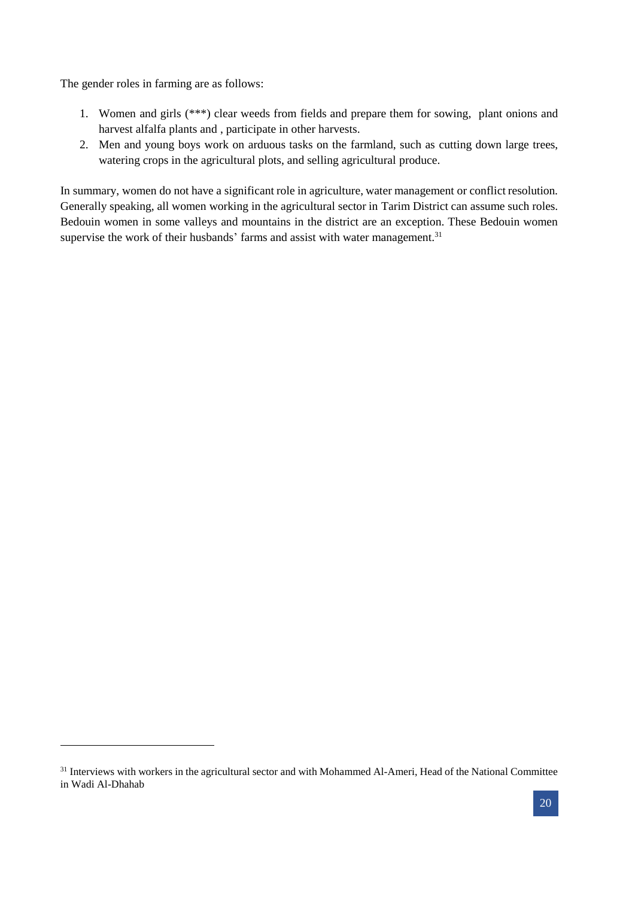The gender roles in farming are as follows:

1

- 1. Women and girls (\*\*\*) clear weeds from fields and prepare them for sowing, plant onions and harvest alfalfa plants and , participate in other harvests.
- 2. Men and young boys work on arduous tasks on the farmland, such as cutting down large trees, watering crops in the agricultural plots, and selling agricultural produce.

In summary, women do not have a significant role in agriculture, water management or conflict resolution. Generally speaking, all women working in the agricultural sector in Tarim District can assume such roles. Bedouin women in some valleys and mountains in the district are an exception. These Bedouin women supervise the work of their husbands' farms and assist with water management.<sup>31</sup>

<sup>&</sup>lt;sup>31</sup> Interviews with workers in the agricultural sector and with Mohammed Al-Ameri, Head of the National Committee in Wadi Al-Dhahab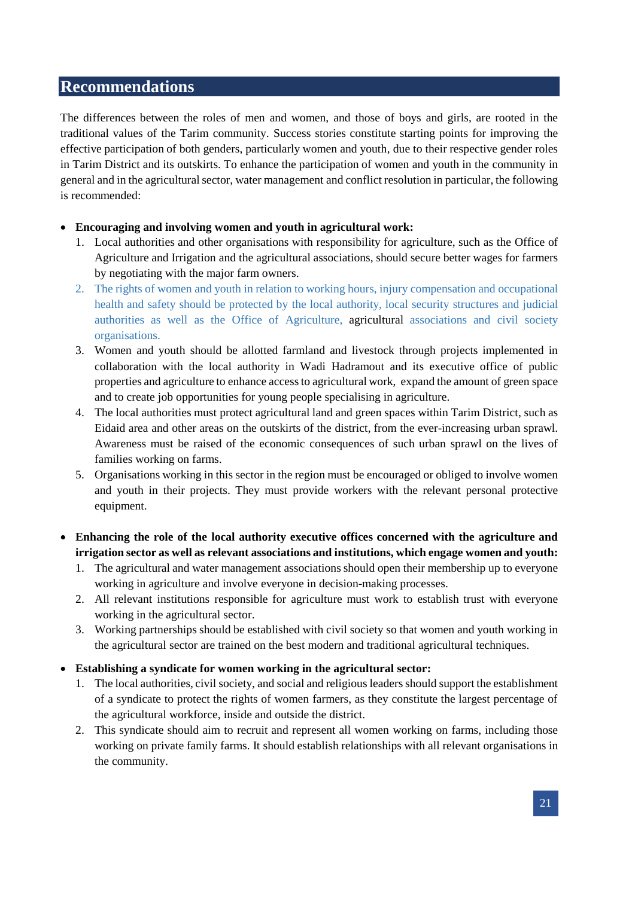# <span id="page-20-0"></span>**Recommendations**

The differences between the roles of men and women, and those of boys and girls, are rooted in the traditional values of the Tarim community. Success stories constitute starting points for improving the effective participation of both genders, particularly women and youth, due to their respective gender roles in Tarim District and its outskirts. To enhance the participation of women and youth in the community in general and in the agricultural sector, water management and conflict resolution in particular, the following is recommended:

## **Encouraging and involving women and youth in agricultural work:**

- 1. Local authorities and other organisations with responsibility for agriculture, such as the Office of Agriculture and Irrigation and the agricultural associations, should secure better wages for farmers by negotiating with the major farm owners.
- 2. The rights of women and youth in relation to working hours, injury compensation and occupational health and safety should be protected by the local authority, local security structures and judicial authorities as well as the Office of Agriculture, agricultural associations and civil society organisations.
- 3. Women and youth should be allotted farmland and livestock through projects implemented in collaboration with the local authority in Wadi Hadramout and its executive office of public properties and agriculture to enhance access to agricultural work, expand the amount of green space and to create job opportunities for young people specialising in agriculture.
- 4. The local authorities must protect agricultural land and green spaces within Tarim District, such as Eidaid area and other areas on the outskirts of the district, from the ever-increasing urban sprawl. Awareness must be raised of the economic consequences of such urban sprawl on the lives of families working on farms.
- 5. Organisations working in this sector in the region must be encouraged or obliged to involve women and youth in their projects. They must provide workers with the relevant personal protective equipment.
- **Enhancing the role of the local authority executive offices concerned with the agriculture and irrigation sector as well as relevant associations and institutions, which engage women and youth:**
	- 1. The agricultural and water management associations should open their membership up to everyone working in agriculture and involve everyone in decision-making processes.
	- 2. All relevant institutions responsible for agriculture must work to establish trust with everyone working in the agricultural sector.
	- 3. Working partnerships should be established with civil society so that women and youth working in the agricultural sector are trained on the best modern and traditional agricultural techniques.
- **Establishing a syndicate for women working in the agricultural sector:**
	- 1. The local authorities, civil society, and social and religious leaders should support the establishment of a syndicate to protect the rights of women farmers, as they constitute the largest percentage of the agricultural workforce, inside and outside the district.
	- 2. This syndicate should aim to recruit and represent all women working on farms, including those working on private family farms. It should establish relationships with all relevant organisations in the community.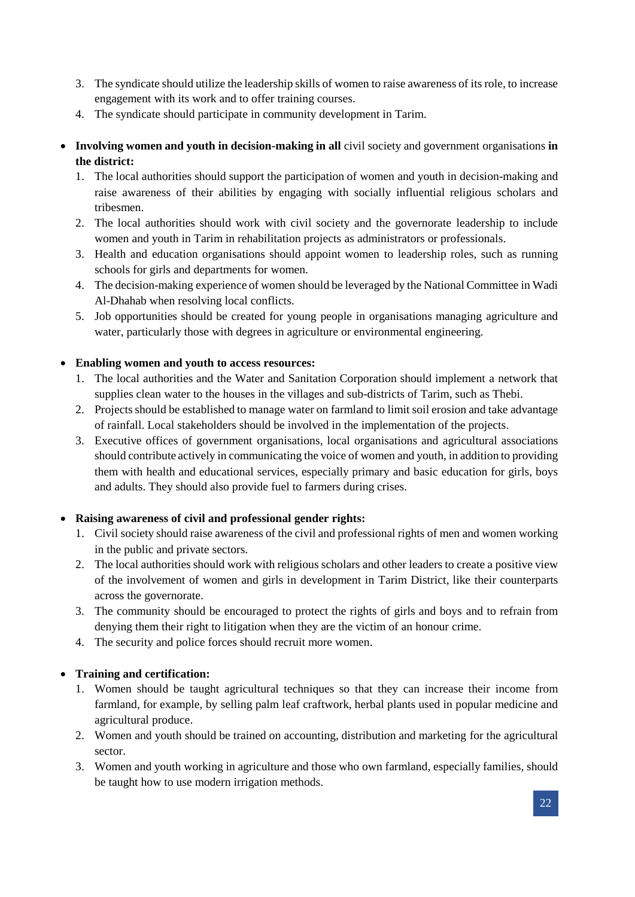- 3. The syndicate should utilize the leadership skills of women to raise awareness of its role, to increase engagement with its work and to offer training courses.
- 4. The syndicate should participate in community development in Tarim.
- **Involving women and youth in decision-making in all** civil society and government organisations **in the district:**
	- 1. The local authorities should support the participation of women and youth in decision-making and raise awareness of their abilities by engaging with socially influential religious scholars and tribesmen.
	- 2. The local authorities should work with civil society and the governorate leadership to include women and youth in Tarim in rehabilitation projects as administrators or professionals.
	- 3. Health and education organisations should appoint women to leadership roles, such as running schools for girls and departments for women.
	- 4. The decision-making experience of women should be leveraged by the National Committee in Wadi Al-Dhahab when resolving local conflicts.
	- 5. Job opportunities should be created for young people in organisations managing agriculture and water, particularly those with degrees in agriculture or environmental engineering.

# **Enabling women and youth to access resources:**

- 1. The local authorities and the Water and Sanitation Corporation should implement a network that supplies clean water to the houses in the villages and sub-districts of Tarim, such as Thebi.
- 2. Projects should be established to manage water on farmland to limit soil erosion and take advantage of rainfall. Local stakeholders should be involved in the implementation of the projects.
- 3. Executive offices of government organisations, local organisations and agricultural associations should contribute actively in communicating the voice of women and youth, in addition to providing them with health and educational services, especially primary and basic education for girls, boys and adults. They should also provide fuel to farmers during crises.

# **Raising awareness of civil and professional gender rights:**

- 1. Civil society should raise awareness of the civil and professional rights of men and women working in the public and private sectors.
- 2. The local authorities should work with religious scholars and other leaders to create a positive view of the involvement of women and girls in development in Tarim District, like their counterparts across the governorate.
- 3. The community should be encouraged to protect the rights of girls and boys and to refrain from denying them their right to litigation when they are the victim of an honour crime.
- 4. The security and police forces should recruit more women.

# **Training and certification:**

- 1. Women should be taught agricultural techniques so that they can increase their income from farmland, for example, by selling palm leaf craftwork, herbal plants used in popular medicine and agricultural produce.
- 2. Women and youth should be trained on accounting, distribution and marketing for the agricultural sector.
- 3. Women and youth working in agriculture and those who own farmland, especially families, should be taught how to use modern irrigation methods.